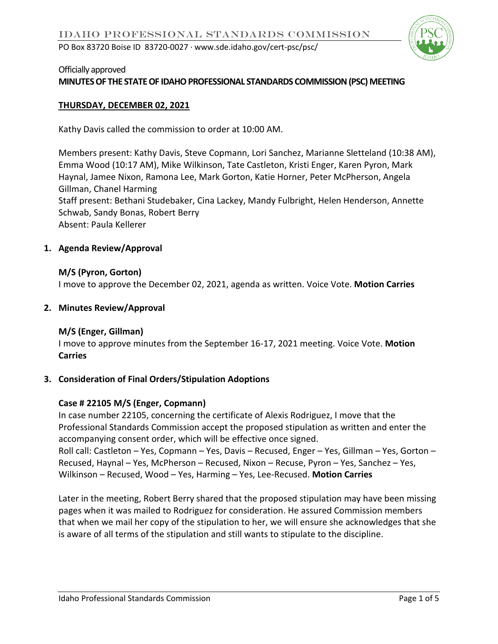

#### Officially approved

#### **MINUTES OF THE STATE OF IDAHO PROFESSIONAL STANDARDS COMMISSION (PSC) MEETING**

#### **THURSDAY, DECEMBER 02, 2021**

Kathy Davis called the commission to order at 10:00 AM.

Members present: Kathy Davis, Steve Copmann, Lori Sanchez, Marianne Sletteland (10:38 AM), Emma Wood (10:17 AM), Mike Wilkinson, Tate Castleton, Kristi Enger, Karen Pyron, Mark Haynal, Jamee Nixon, Ramona Lee, Mark Gorton, Katie Horner, Peter McPherson, Angela Gillman, Chanel Harming Staff present: Bethani Studebaker, Cina Lackey, Mandy Fulbright, Helen Henderson, Annette Schwab, Sandy Bonas, Robert Berry Absent: Paula Kellerer

#### **1. Agenda Review/Approval**

# **M/S (Pyron, Gorton)**

I move to approve the December 02, 2021, agenda as written. Voice Vote. **Motion Carries** 

#### **2. Minutes Review/Approval**

### **M/S (Enger, Gillman)**

I move to approve minutes from the September 16-17, 2021 meeting. Voice Vote. **Motion Carries** 

#### **3. Consideration of Final Orders/Stipulation Adoptions**

### **Case # 22105 M/S (Enger, Copmann)**

In case number 22105, concerning the certificate of Alexis Rodriguez, I move that the Professional Standards Commission accept the proposed stipulation as written and enter the accompanying consent order, which will be effective once signed. Roll call: Castleton – Yes, Copmann – Yes, Davis – Recused, Enger – Yes, Gillman – Yes, Gorton – Recused, Haynal – Yes, McPherson – Recused, Nixon – Recuse, Pyron – Yes, Sanchez – Yes,

Wilkinson – Recused, Wood – Yes, Harming – Yes, Lee-Recused. **Motion Carries**

Later in the meeting, Robert Berry shared that the proposed stipulation may have been missing pages when it was mailed to Rodriguez for consideration. He assured Commission members that when we mail her copy of the stipulation to her, we will ensure she acknowledges that she is aware of all terms of the stipulation and still wants to stipulate to the discipline.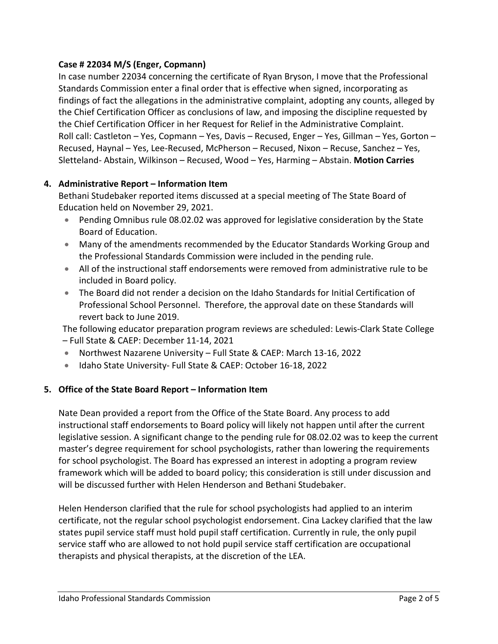### **Case # 22034 M/S (Enger, Copmann)**

In case number 22034 concerning the certificate of Ryan Bryson, I move that the Professional Standards Commission enter a final order that is effective when signed, incorporating as findings of fact the allegations in the administrative complaint, adopting any counts, alleged by the Chief Certification Officer as conclusions of law, and imposing the discipline requested by the Chief Certification Officer in her Request for Relief in the Administrative Complaint. Roll call: Castleton – Yes, Copmann – Yes, Davis – Recused, Enger – Yes, Gillman – Yes, Gorton – Recused, Haynal – Yes, Lee-Recused, McPherson – Recused, Nixon – Recuse, Sanchez – Yes, Sletteland- Abstain, Wilkinson – Recused, Wood – Yes, Harming – Abstain. **Motion Carries**

### **4. Administrative Report – Information Item**

Bethani Studebaker reported items discussed at a special meeting of The State Board of Education held on November 29, 2021.

- Pending Omnibus rule 08.02.02 was approved for legislative consideration by the State Board of Education.
- Many of the amendments recommended by the Educator Standards Working Group and the Professional Standards Commission were included in the pending rule.
- All of the instructional staff endorsements were removed from administrative rule to be included in Board policy.
- The Board did not render a decision on the Idaho Standards for Initial Certification of Professional School Personnel. Therefore, the approval date on these Standards will revert back to June 2019.

The following educator preparation program reviews are scheduled: Lewis-Clark State College – Full State & CAEP: December 11-14, 2021

- Northwest Nazarene University Full State & CAEP: March 13-16, 2022
- Idaho State University- Full State & CAEP: October 16-18, 2022

# **5. Office of the State Board Report – Information Item**

Nate Dean provided a report from the Office of the State Board. Any process to add instructional staff endorsements to Board policy will likely not happen until after the current legislative session. A significant change to the pending rule for 08.02.02 was to keep the current master's degree requirement for school psychologists, rather than lowering the requirements for school psychologist. The Board has expressed an interest in adopting a program review framework which will be added to board policy; this consideration is still under discussion and will be discussed further with Helen Henderson and Bethani Studebaker.

Helen Henderson clarified that the rule for school psychologists had applied to an interim certificate, not the regular school psychologist endorsement. Cina Lackey clarified that the law states pupil service staff must hold pupil staff certification. Currently in rule, the only pupil service staff who are allowed to not hold pupil service staff certification are occupational therapists and physical therapists, at the discretion of the LEA.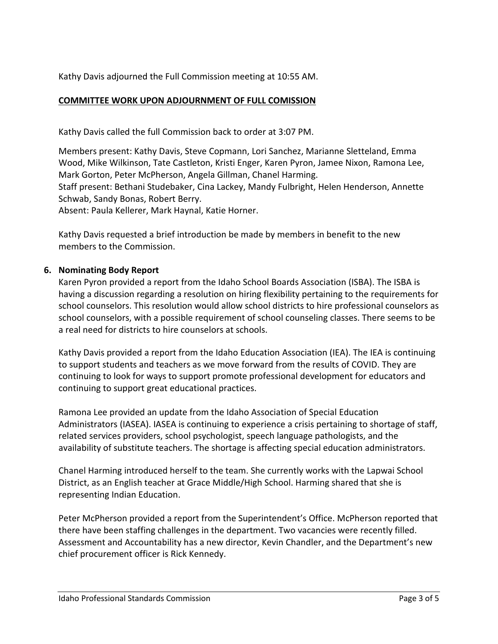Kathy Davis adjourned the Full Commission meeting at 10:55 AM.

# **COMMITTEE WORK UPON ADJOURNMENT OF FULL COMISSION**

Kathy Davis called the full Commission back to order at 3:07 PM.

Members present: Kathy Davis, Steve Copmann, Lori Sanchez, Marianne Sletteland, Emma Wood, Mike Wilkinson, Tate Castleton, Kristi Enger, Karen Pyron, Jamee Nixon, Ramona Lee, Mark Gorton, Peter McPherson, Angela Gillman, Chanel Harming. Staff present: Bethani Studebaker, Cina Lackey, Mandy Fulbright, Helen Henderson, Annette Schwab, Sandy Bonas, Robert Berry. Absent: Paula Kellerer, Mark Haynal, Katie Horner.

Kathy Davis requested a brief introduction be made by members in benefit to the new members to the Commission.

# **6. Nominating Body Report**

Karen Pyron provided a report from the Idaho School Boards Association (ISBA). The ISBA is having a discussion regarding a resolution on hiring flexibility pertaining to the requirements for school counselors. This resolution would allow school districts to hire professional counselors as school counselors, with a possible requirement of school counseling classes. There seems to be a real need for districts to hire counselors at schools.

Kathy Davis provided a report from the Idaho Education Association (IEA). The IEA is continuing to support students and teachers as we move forward from the results of COVID. They are continuing to look for ways to support promote professional development for educators and continuing to support great educational practices.

Ramona Lee provided an update from the Idaho Association of Special Education Administrators (IASEA). IASEA is continuing to experience a crisis pertaining to shortage of staff, related services providers, school psychologist, speech language pathologists, and the availability of substitute teachers. The shortage is affecting special education administrators.

Chanel Harming introduced herself to the team. She currently works with the Lapwai School District, as an English teacher at Grace Middle/High School. Harming shared that she is representing Indian Education.

Peter McPherson provided a report from the Superintendent's Office. McPherson reported that there have been staffing challenges in the department. Two vacancies were recently filled. Assessment and Accountability has a new director, Kevin Chandler, and the Department's new chief procurement officer is Rick Kennedy.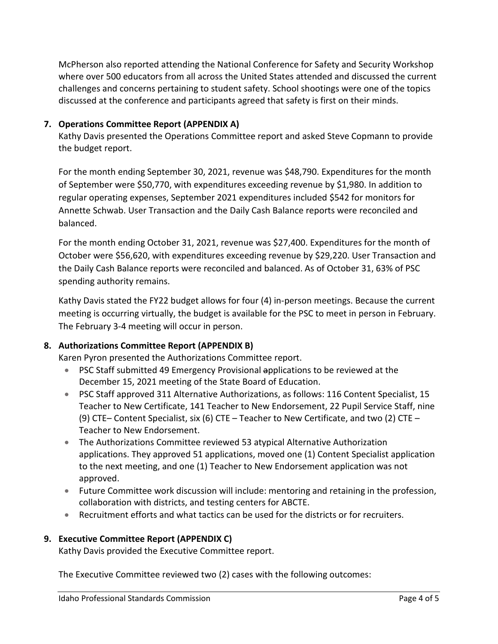McPherson also reported attending the National Conference for Safety and Security Workshop where over 500 educators from all across the United States attended and discussed the current challenges and concerns pertaining to student safety. School shootings were one of the topics discussed at the conference and participants agreed that safety is first on their minds.

### **7. Operations Committee Report (APPENDIX A)**

Kathy Davis presented the Operations Committee report and asked Steve Copmann to provide the budget report.

For the month ending September 30, 2021, revenue was \$48,790. Expenditures for the month of September were \$50,770, with expenditures exceeding revenue by \$1,980. In addition to regular operating expenses, September 2021 expenditures included \$542 for monitors for Annette Schwab. User Transaction and the Daily Cash Balance reports were reconciled and balanced.

For the month ending October 31, 2021, revenue was \$27,400. Expenditures for the month of October were \$56,620, with expenditures exceeding revenue by \$29,220. User Transaction and the Daily Cash Balance reports were reconciled and balanced. As of October 31, 63% of PSC spending authority remains.

Kathy Davis stated the FY22 budget allows for four (4) in-person meetings. Because the current meeting is occurring virtually, the budget is available for the PSC to meet in person in February. The February 3-4 meeting will occur in person.

### **8. Authorizations Committee Report (APPENDIX B)**

Karen Pyron presented the Authorizations Committee report.

- PSC Staff submitted 49 Emergency Provisional applications to be reviewed at the December 15, 2021 meeting of the State Board of Education.
- PSC Staff approved 311 Alternative Authorizations, as follows: 116 Content Specialist, 15 Teacher to New Certificate, 141 Teacher to New Endorsement, 22 Pupil Service Staff, nine (9) CTE– Content Specialist, six (6) CTE – Teacher to New Certificate, and two (2) CTE – Teacher to New Endorsement.
- The Authorizations Committee reviewed 53 atypical Alternative Authorization applications. They approved 51 applications, moved one (1) Content Specialist application to the next meeting, and one (1) Teacher to New Endorsement application was not approved.
- Future Committee work discussion will include: mentoring and retaining in the profession, collaboration with districts, and testing centers for ABCTE.
- Recruitment efforts and what tactics can be used for the districts or for recruiters.

### **9. Executive Committee Report (APPENDIX C)**

Kathy Davis provided the Executive Committee report.

The Executive Committee reviewed two (2) cases with the following outcomes: